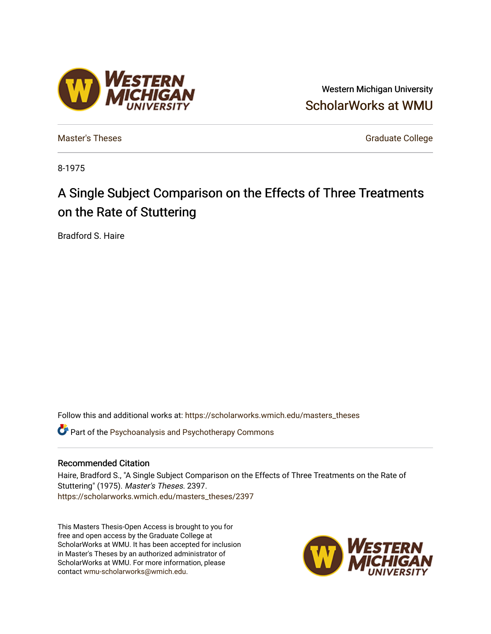# Western Michigan University [ScholarWorks at WMU](https://scholarworks.wmich.edu/)

[Master's Theses](https://scholarworks.wmich.edu/masters_theses) [Graduate College](https://scholarworks.wmich.edu/grad) Controller College College College College College

8-1975

# A Single Subject Comparison on the Effects of Three Treatments on the Rate of Stuttering

Bradford S. Haire

Follow this and additional works at: [https://scholarworks.wmich.edu/masters\\_theses](https://scholarworks.wmich.edu/masters_theses?utm_source=scholarworks.wmich.edu%2Fmasters_theses%2F2397&utm_medium=PDF&utm_campaign=PDFCoverPages) 

**C** Part of the Psychoanalysis and Psychotherapy Commons

# Recommended Citation

Haire, Bradford S., "A Single Subject Comparison on the Effects of Three Treatments on the Rate of Stuttering" (1975). Master's Theses. 2397. [https://scholarworks.wmich.edu/masters\\_theses/2397](https://scholarworks.wmich.edu/masters_theses/2397?utm_source=scholarworks.wmich.edu%2Fmasters_theses%2F2397&utm_medium=PDF&utm_campaign=PDFCoverPages) 

This Masters Thesis-Open Access is brought to you for free and open access by the Graduate College at ScholarWorks at WMU. It has been accepted for inclusion in Master's Theses by an authorized administrator of ScholarWorks at WMU. For more information, please contact [wmu-scholarworks@wmich.edu](mailto:wmu-scholarworks@wmich.edu).



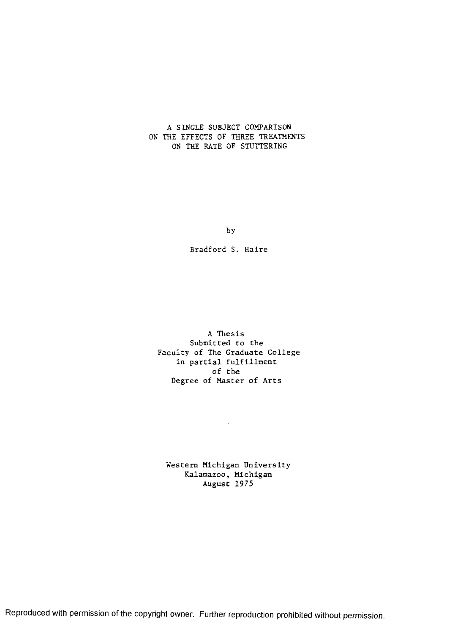#### A SINGLE SUBJECT COMPARISON ON THE EFFECTS OF THREE TREATMENTS ON THE RATE OF STUTTERING

by

Bradford S. Haire

A Thesis Submitted to the Faculty of The Graduate College in partial fulfillment of the Degree of Master of Arts

Western Michigan University Kalamazoo, Michigan August 1975

 $\sim 10^{11}$  km  $^{-1}$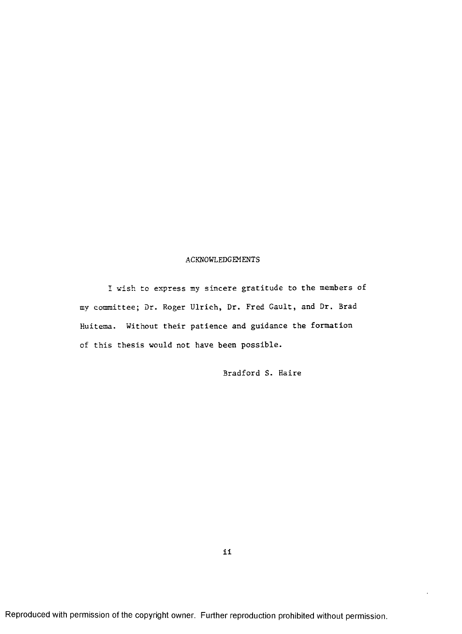#### ACKNOWLEDGEMENTS

I wish to express my sincere gratitude to the members of my committee; Dr. Roger Ulrich, Dr. Fred Gault, and Dr. Brad Huitema. Without their patience and guidance the formation of this thesis would not have been possible.

Bradford S. Haire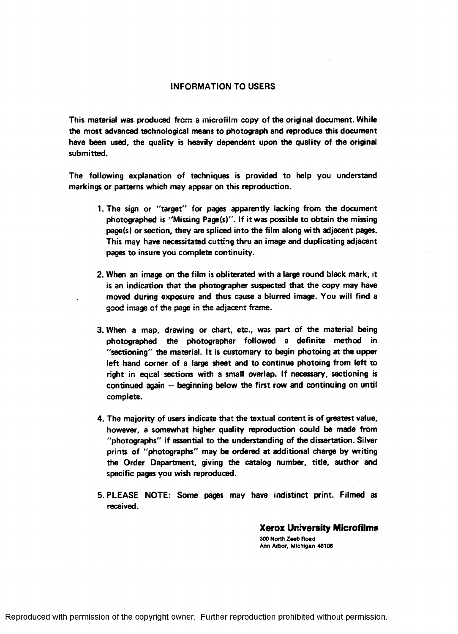### **INFORMATION TO USERS**

**This material was produced from a microfilm copy of the original document. While the most advanced technological means to photograph and reproduce this document have been used, the quality is heavily dependent upon the quality of the original submitted.**

**The following explanation of techniques is provided to help you understand markings or patterns which may appear on this reproduction.**

- **1. The sign or "target" for pages apparently lacking from the document photographed is "Missing Page(s)". If it was possible to obtain the missing page(s) or section, they are spliced into the film along with adjacent pages. This may have necessitated cutting thru an image and duplicating adjacent pages to insure you complete continuity.**
- **2. When an image on the film is obliterated with a large round black mark, it is an indication that the photographer suspected that the copy may have moved during exposure and thus cause a blurred image. You will find a good image of the page in the adjacent frame.**
- **3. When a map, drawing or chart, etc., was part of the material being photographed the photographer followed a definite method in "sectioning" the material. It is customary to begin photoing at the upper left hand corner of a large sheet and to continue photoing from left to right in equal sections with a small overlap. If necessary, sectioning is continued again - beginning below the first row and continuing on until complete.**
- **4. The majority of users indicate that the textual content is of greatest value, however, a somewhat higher quality reproduction could be made from "photographs" if essential to the understanding of the dissertation. Silver prints of "photographs" may be ordered at additional charge by writing the Order Department, giving the catalog number, title, author and specific pages you wish reproduced.**
- **5. PLEASE NOTE: Some pages may have indistinct print. Filmed as received.**

**Xerox University Microfilms 300 North Zeeb Road Ann Arbor, Michigan 48106**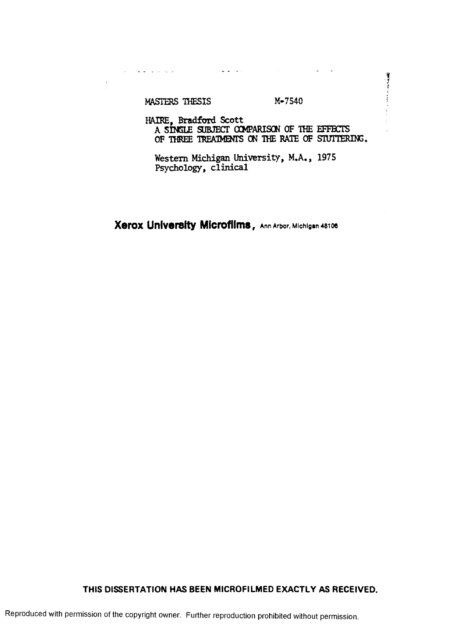MASTERS THESIS M-7540

 $\mathcal{L}^{\text{max}}$  , and the set of  $\mathcal{L}^{\text{max}}$ 

 $\hat{1}$ 

**Contract of the Second Second** 

HAIRE, Bradford Scott \_\_\_ A SINGLE SUBJECT COMPARISON OF THE EFFECTS OF THREE TREATMENTS ON THE RATE OF STUTTERING.

Western Michigan University, M.A., 1975 Psychology, clinical

 $\Delta$  ,  $\Delta$  ,  $\Delta$  ,  $\Delta$ 

**Xerox University Microfilms, Ann Arbor, Michigan 48106** 

# **THIS DISSERTATION HAS BEEN MICROFILMED EXACTLY AS RECEIVED.**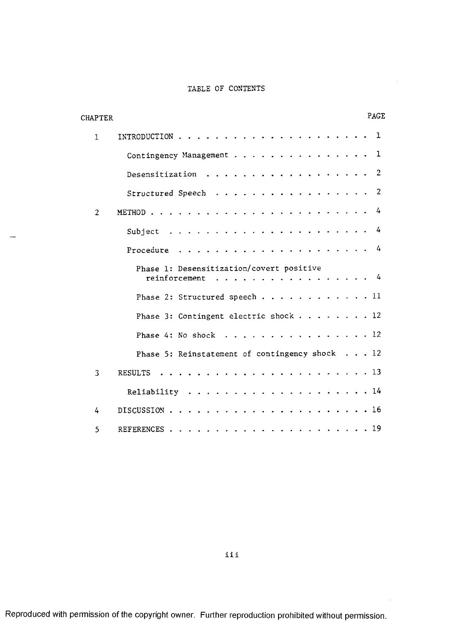### TABLE OF CONTENTS

| CHAPTER        | PAGE                                                                                                                                                                                                                                                           |  |
|----------------|----------------------------------------------------------------------------------------------------------------------------------------------------------------------------------------------------------------------------------------------------------------|--|
| $\mathbf{1}$   | 1<br>INTRODUCTION<br>$\mathbf{r}$ , $\mathbf{r}$ , $\mathbf{r}$ , $\mathbf{r}$                                                                                                                                                                                 |  |
|                | 1<br>Contingency Management                                                                                                                                                                                                                                    |  |
|                | $\overline{2}$<br>Desensitization<br>$\sim$ $\sim$ $\sim$                                                                                                                                                                                                      |  |
|                | $\overline{2}$<br>Structured Speech<br>. The contract of the contract of the contract of the contract of the contract of the $\alpha$                                                                                                                          |  |
| $\overline{2}$ | 4<br>$\frac{1}{2}$ , $\frac{1}{2}$ , $\frac{1}{2}$ , $\frac{1}{2}$ , $\frac{1}{2}$ , $\frac{1}{2}$ , $\frac{1}{2}$ , $\frac{1}{2}$ , $\frac{1}{2}$ , $\frac{1}{2}$ , $\frac{1}{2}$ , $\frac{1}{2}$ , $\frac{1}{2}$ , $\frac{1}{2}$<br>METHOD                   |  |
|                | 4<br>. The contract of the contract of the contract of the contract of the contract of the contract of the contract of the contract of the contract of the contract of the contract of the contract of the contract of the contrac<br>Subject<br>$\sim$ $\sim$ |  |
|                | 4<br>Procedure<br>$\sim$ $\sim$ $\sim$ $\sim$                                                                                                                                                                                                                  |  |
|                | Phase 1: Desensitization/covert positive<br>. 4<br>reinforcement                                                                                                                                                                                               |  |
|                | Phase 2: Structured speech 11                                                                                                                                                                                                                                  |  |
|                | Phase 3: Contingent electric shock $\ldots$ 12                                                                                                                                                                                                                 |  |
|                | . 12<br>Phase $4: No shock $                                                                                                                                                                                                                                   |  |
|                | Phase 5: Reinstatement of contingency shock 12                                                                                                                                                                                                                 |  |
| 3              | . 13<br><b>RESULTS</b>                                                                                                                                                                                                                                         |  |
|                | . 14<br>Reliability<br>$\ddot{\phantom{a}}$                                                                                                                                                                                                                    |  |
| 4              | . 16<br>DISCUSSION                                                                                                                                                                                                                                             |  |
| 5              | . 19<br>REFERENCES                                                                                                                                                                                                                                             |  |

iii

 $\hat{\mathcal{A}}$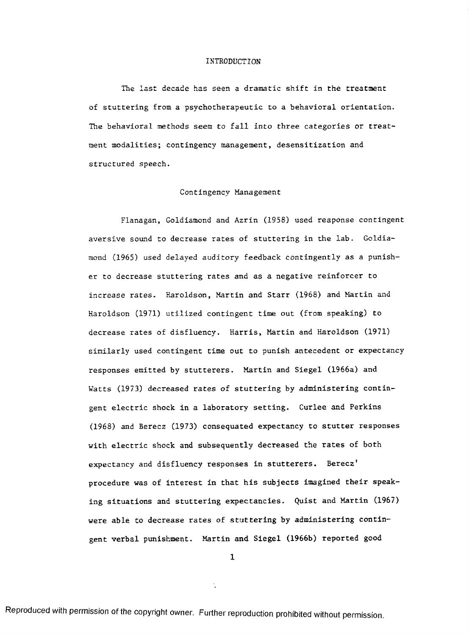#### INTRODUCTION

The last decade has seen a dramatic shift in the treatment of stuttering from a psychotherapeutic to a behavioral orientation. The behavioral methods seem to fall into three categories or treatment modalities; contingency management, desensitization and structured speech.

#### Contingency Management

Flanagan, Goldiamond and Azrin (1958) used reaponse contingent aversive sound to decrease rates of stuttering in the lab. Goldiamond (1965) used delayed auditory feedback contingently as a punisher to decrease stuttering rates and as a negative reinforcer to increase rates. Haroldson, Martin and Starr (1968) and Martin and Haroldson (1971) utilized contingent time out (from speaking) to decrease rates of disfluency. Harris, Martin and Haroldson (1971) similarly used contingent time out to punish antecedent or expectancy responses emitted by stutterers. Martin and Siegel (1966a) and Watts (1973) decreased rates of stuttering by administering contingent electric shock in a laboratory setting. Curlee and Perkins (1968) and Berecz (1973) consequated expectancy to stutter responses with electric shock and subsequently decreased the rates of both expectancy and disfluency responses in stutterers. Berecz' procedure was of interest in that his subjects imagined their speaking situations and stuttering expectancies. Quist and Martin (1967) were able to decrease rates of stuttering by administering contingent verbal punishment. Martin and Siegel (1966b) reported good

**1**

 $\mathbf{r}$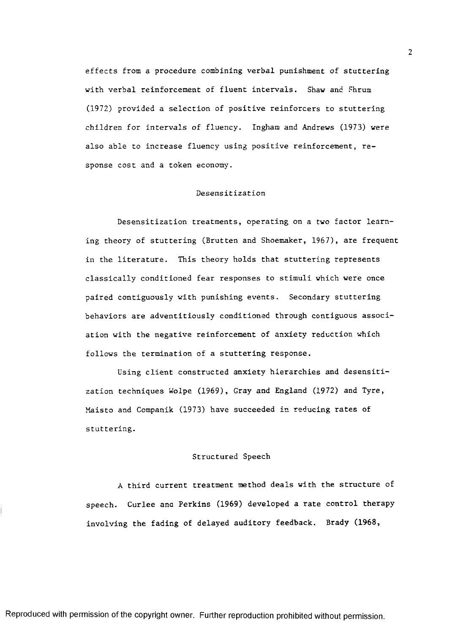effects from a procedure combining verbal punishment of stuttering with verbal reinforcement of fluent intervals. Shaw and Shrum (1972) provided a selection of positive reinforcers to stuttering children for intervals of fluency. Ingham and Andrews (1973) were also able to increase fluency using positive reinforcement, response cost and a token economy.

#### Desensitization

Desensitization treatments, operating on a two factor learning theory of stuttering (Brutten and Shoemaker, 1967), are frequent in the literature. This theory holds that stuttering represents classically conditioned fear responses to stimuli which were once paired contiguously with punishing events. Secondary stuttering behaviors are adventitiously conditioned through contiguous association with the negative reinforcement of anxiety reduction which follows the termination of a stuttering response.

Using client constructed anxiety hierarchies and desensitization techniques Wolpe (1969), Gray and England (1972) and Tyre, Maisto and Companik (1973) have succeeded in reducing rates of stuttering.

#### Structured Speech

A third current treatment method deals with the structure of speech. Curlee ana Perkins (1969) developed a rate control therapy involving the fading of delayed auditory feedback. Brady (1968,

Reproduced with permission of the copyright owner. Further reproduction prohibited without permission.

 $\overline{2}$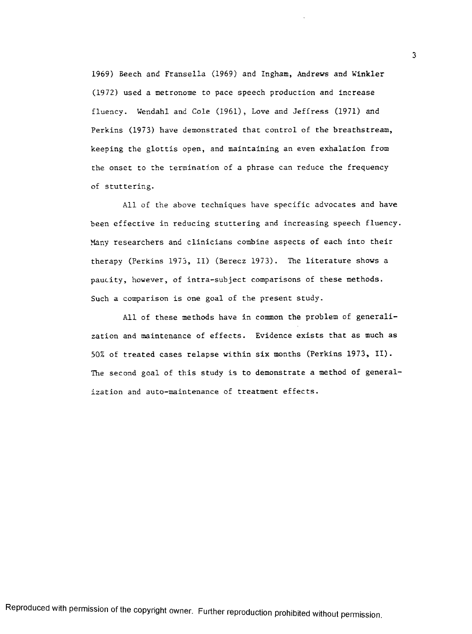1969) Beech and Fransella (1969) and Ingham, Andrews and Winkler (19 72) used a metronome to pace speech production and increase fluency. Wendahl and Cole (1961), Love and Jeffress (1971) and Perkins (1973) have demonstrated that control of the breathstream, keeping the glottis open, and maintaining an even exhalation from the onset to the termination of a phrase can reduce the frequency of stuttering.

All of the above techniques have specific advocates and have been effective in reducing stuttering and increasing speech fluency. Many researchers and clinicians combine aspects of each into their therapy (Perkins 1973, II) (Berecz 1973). The literature shows a paucity, however, of intra-subject comparisons of these methods. Such a comparison is one goal of the present study.

All of these methods have in common the problem of generalization and maintenance of effects. Evidence exists that as much as 50% of treated cases relapse within six months (Perkins 1973, II). The second goal of this study is to demonstrate a method of generalization and auto-maintenance of treatment effects.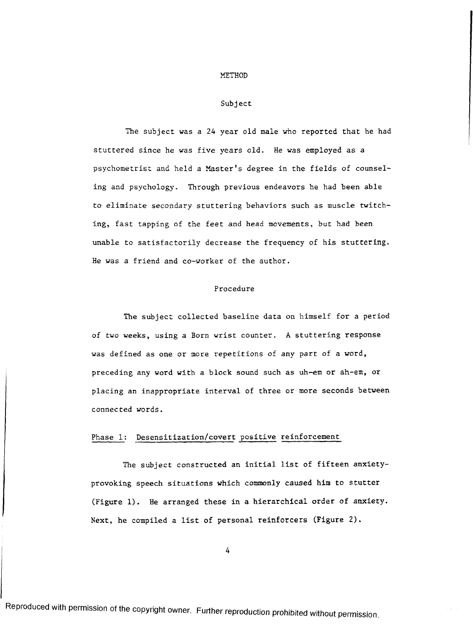#### METHOD

#### Subject

The subject was a 24 year old male who reported that he had stuttered since he was five years old. He was employed as a psychometrist and held a Master's degree in the fields of counseling and psychology. Through previous endeavors he had been able to eliminate secondary stuttering behaviors such as muscle twitching, fast tapping of the feet and head movements, but had been unable to satisfactorily decrease the frequency of his stuttering. He was a friend and co-worker of the author.

### Procedure

The subject collected baseline data on himself for a period of two weeks, using a Born wrist counter. A stuttering response was defined as one or more repetitions of any part of a word, preceding any word with a block sound such as uh-em or ah-em, or placing an inappropriate interval of three or more seconds between connected words.

# Phase 1: Desensitization/covert positive reinforcement

The subject constructed an initial list of fifteen anxietyprovoking speech situations which commonly caused him to stutter (Figure 1). He arranged these in a hierarchical order of anxiety. Next, he compiled a list of personal reinforcers (Figure 2).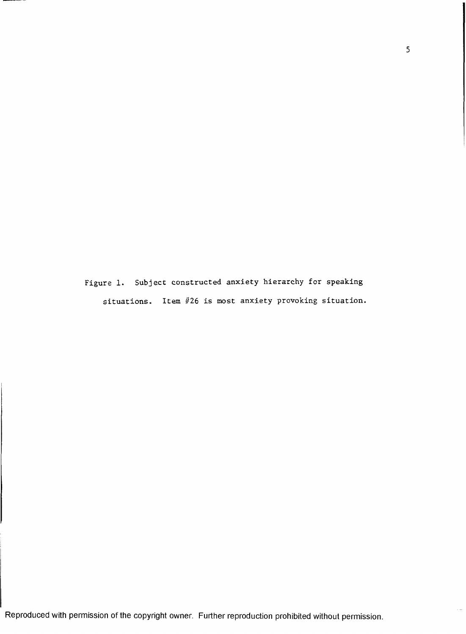Figure 1. Subject constructed anxiety hierarchy for speaking situations. Item #26 is most anxiety provoking situation.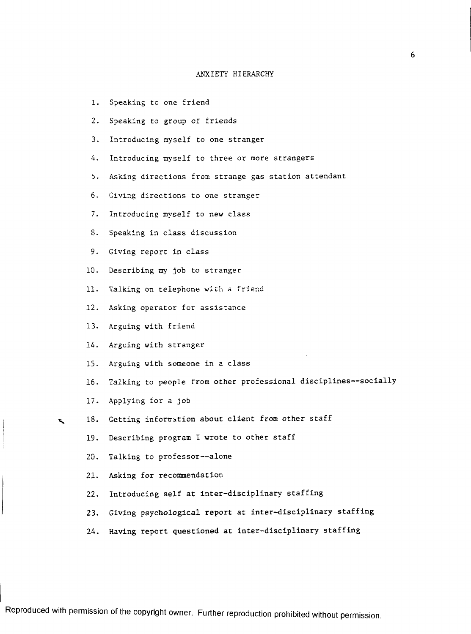#### ANXIETY HIERARCHY

- **1**. Speaking to one friend
- 2. Speaking to group of friends
- 3. Introducing myself to one stranger
- 4. Introducing myself to three or more strangers
- 5. Asking directions from strange gas station attendant
- 6. Giving directions to one stranger
- 7. Introducing myself to new class
- 8. Speaking in class discussion
- 9. Giving report in class
- 10. Describing my job to stranger
- 11. Talking on telephone with a friend
- 12. Asking operator for assistance
- 13. Arguing with friend
- 14. Arguing with stranger
- 15. Arguing with someone in a class
- 16. Talking to people from other professional disciplines— socially
- 17. Applying for a job
- 18. Getting information about client from other staff
	- 19. Describing program I wrote to other staff
	- 20. Talking to professor— alone
	- 21. Asking for recommendation
	- 22. Introducing self at inter-disciplinary staffing
	- 23. Giving psychological report at inter-disciplinary staffing
	- 24. Having report questioned at inter-disciplinary staffing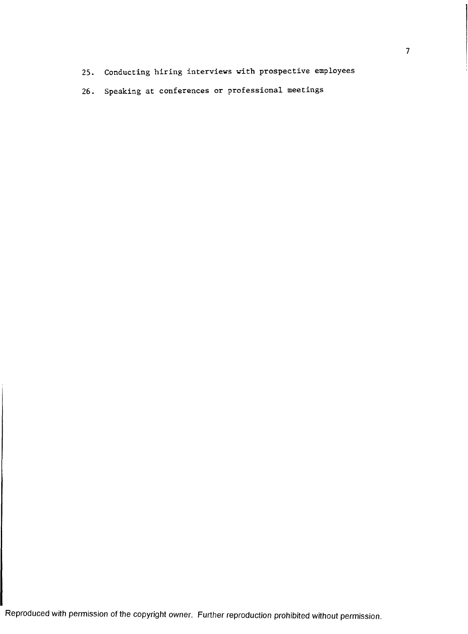- 25. Conducting hiring interviews with prospective employees
- 26. Speaking at conferences or professional meetings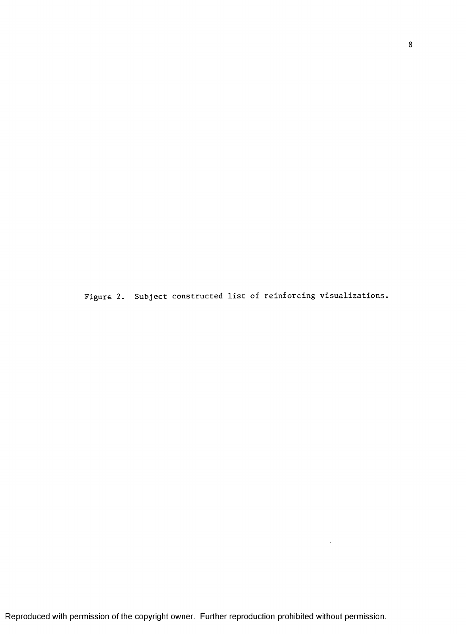Figure 2. Subject constructed list of reinforcing visualizations.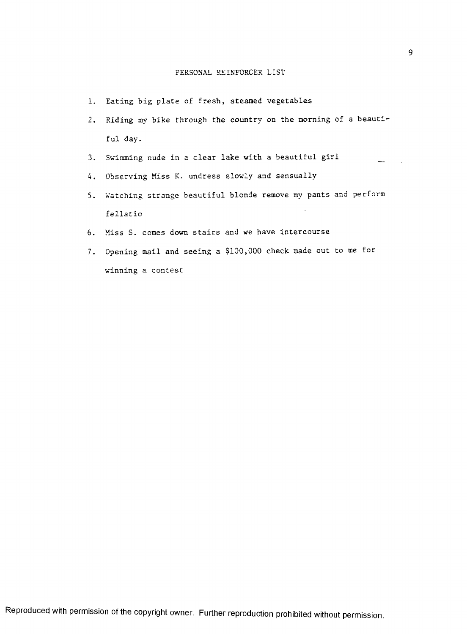#### PERSONAL REINFORCER LIST

- 1. Eating big plate of fresh, steamed vegetables
- 2. Riding my bike through the country on the morning of a beauti ful day.
- 3. Swimming nude in a clear lake with a beautiful girl
- 4. Observing Miss K. undress slowly and sensually
- 5. Watching strange beautiful blonde remove my pants and perform fellatio
- 6. Miss S. comes down stairs and we have intercourse
- 7. Opening mail and seeing a §100,000 check made out to me for winning a contest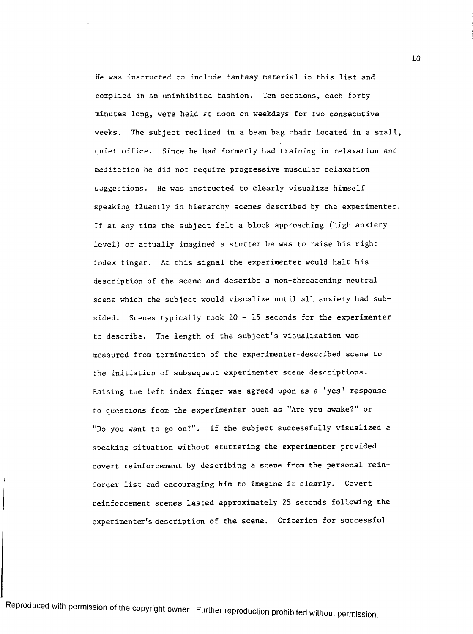He was instructed to include fantasy material in this list and complied in an uninhibited fashion. Ten sessions, each forty minutes long, were held  $\varepsilon t$  noon on weekdays for two consecutive weeks. The subject reclined in a bean bag chair located in a small. quiet office. Since he had formerly had training in relaxation and meditation he did not require progressive muscular relaxation suggestions. He was instructed to clearly visualize himself speaking fluently in hierarchy scenes described by the experimenter. If at any time the subject felt a block approaching (high anxiety level) or actually imagined a stutter he was to raise his right index finger. At this signal the experimenter would halt his description of the scene and describe a non-threatening neutral scene which the subject would visualize until all anxiety had subsided. Scenes typically took  $10 - 15$  seconds for the experimenter to describe. The length of the subject's visualization was measured from termination of the experimenter-described scene to the initiation of subsequent experimenter scene descriptions. Raising the left index finger was agreed upon as a 'yes' response to questions from the experimenter such as "Are you awake?" or "Do you want to go on?". If the subject successfully visualized a speaking situation without stuttering the experimenter provided covert reinforcement by describing a scene from the personal reinforcer list and encouraging him to imagine it clearly. Covert reinforcement scenes lasted approximately 25 seconds following the experimenter's description of the scene. Criterion for successful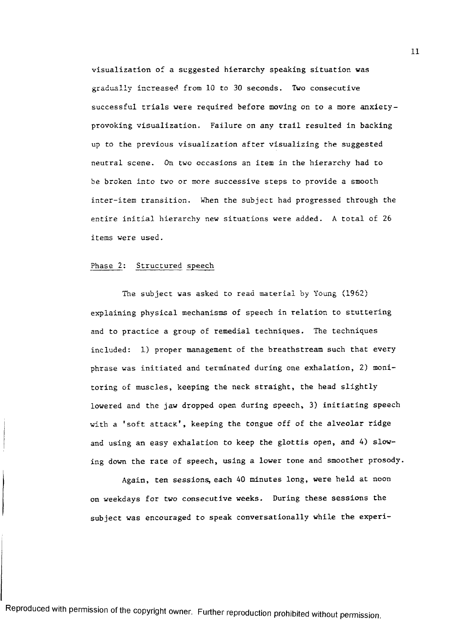visualization of a suggested hierarchy speaking situation was gradually increased from 10 to 30 seconds. Two consecutive successful trials were required before moving on to a more anxietyprovoking visualization. Failure on any trail resulted in backing up to the previous visualization after visualizing the suggested neutral scene. *On two occasions* an item in the hierarchy had to be broken into two or more successive steps to provide a smooth inter-item transition. When the subject had progressed through the entire initial hierarchy new situations were added. A total of 26 items were used.

#### Phase 2: Structured speech

The subject was asked to read material by Young (1962) explaining physical mechanisms of speech in relation to stuttering and to practice a group of remedial techniques. The techniques included: 1) proper management of the breathstream such that every phrase was initiated and terminated during one exhalation, 2) monitoring of muscles, keeping the neck straight, the head slightly lowered and the jaw dropped open during speech, 3) initiating speech with a 'soft attack', keeping the tongue off of the alveolar ridge and using an easy exhalation to keep the glottis open, and 4) slowing down the rate of speech, using a lower tone and smoother prosody.

Again, ten sessions, each 40 minutes long, were held at noon on weekdays for two consecutive weeks. During these sessions the subject was encouraged to speak conversationally while the experi-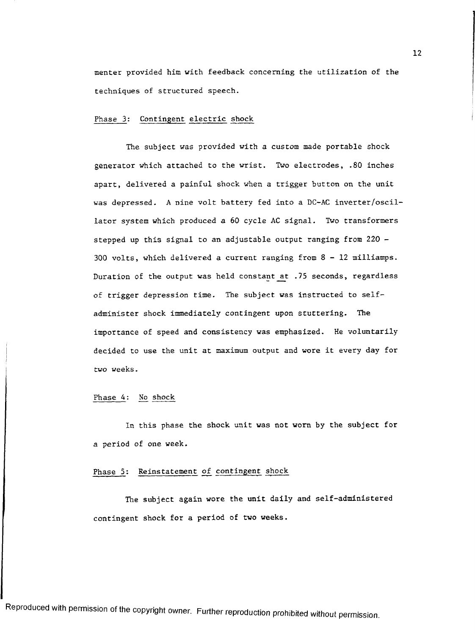menter provided him with feedback concerning the utilization of the techniques of structured speech.

#### Phase 3: Contingent electric shock

The subject was provided with a custom made portable shock generator which attached to the wrist. Two electrodes, .80 inches apart, delivered a painful shock when a trigger button on the unit was depressed. A nine volt battery fed into a DC-AC inverter/oscillator system which produced a 60 cycle AC signal. Two transformers stepped up this signal to an adjustable output ranging from 220 - 300 volts, which delivered a current ranging from 8-12 milliamps. Duration of the output was held constant at .75 seconds, regardless of trigger depression time. The subject was instructed to selfadminister shock immediately contingent upon stuttering. The importance of speed and consistency was emphasized. He voluntarily decided to use the unit at maximum output and wore it every day for two weeks.

#### Phase 4: No shock

In this phase the shock unit was not worn by the subject for a period of one week.

#### Phase 5: Reinstatement of contingent shock

The subject again wore the unit daily and self-administered contingent shock for a period of two weeks.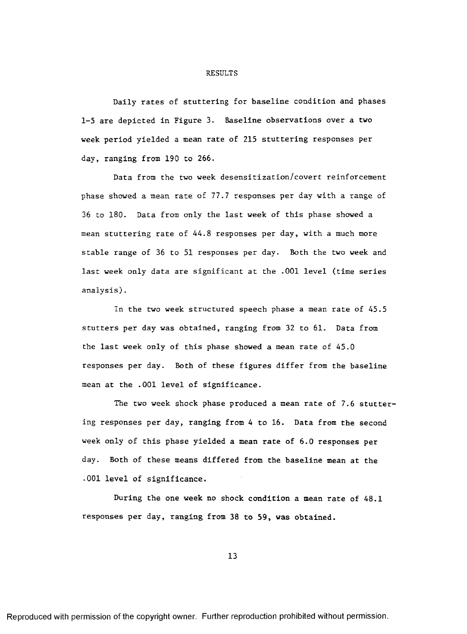#### RESULTS

Daily rates of stuttering for baseline condition and phases 1-5 are depicted in Figure 3. Baseline observations over a two week period yielded a mean rate of 215 stuttering responses per day, ranging from 190 to 266.

Data from the two week desensitization/covert reinforcement phase showed a mean rate of 77.7 responses per day with a range of 36 to 180. Data from only the last week of this phase showed a mean stuttering rate of 44.8 responses per day, with a much more stable range of 36 to 51 responses per day. Both the two week and last week only data are significant at the .001 level (time series analysis).

In the two week structured speech phase a mean rate of 45.5 stutters per day was obtained, ranging from 32 to 61. Data from the last week only of this phase showed a mean rate of 45.0 responses per day. Both of these figures differ from the baseline mean at the .001 level of significance.

The two week shock phase produced a mean rate of 7.6 stuttering responses per day, ranging from 4 to 16. Data from the second week only of this phase yielded a mean rate of 6.0 responses per day. Both of these means differed from the baseline mean at the .001 level of significance.

During the one week no shock condition a mean rate of 48.1 responses per day, ranging from 38 to 59, was obtained.

13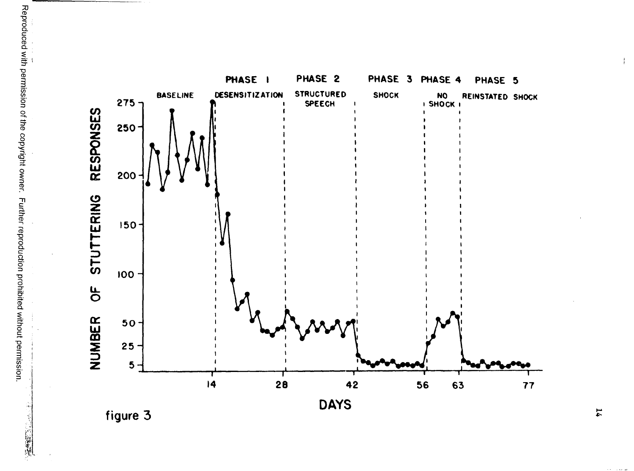**PHASE I PHASE 2 PHASE 3 PHASE 4 PHASE 5** BASELINE **DESENSITIZATION STRUCTURED** SHOCK NO REINSTATED SHOCK **DESENSITIZATION STRUCTURED BASELINE DESENSITIZATION STRUCTURED** SHOCK NO<br>**P**<br>**P**<br>**SHOCK I** *\* **i SPEECH** RESPONSES **NUMBER OF STUTTERING RESPONSES** 250 **200-1** STUTTERING **5 0 - 100** -  $\frac{1}{\sigma}$ NUMBER **5 0 - 25** 5 **14 26 42 56 63 77 DAYS**

**figure 3**

**不能**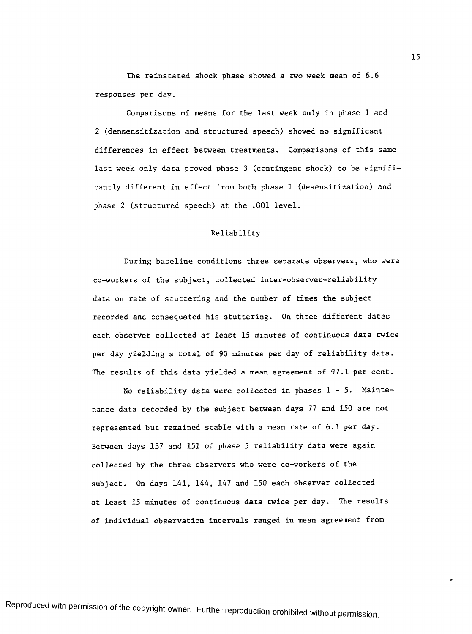The reinstated shock phase showed a two week mean of 6.6 responses per day.

Comparisons of means for the last week only in phase 1 and 2 (densensitization and structured speech) showed no significant differences in effect between treatments. Comparisons of this same last week only data proved phase 3 (contingent shock) to be significantly different in effect from both phase 1 (desensitization) and phase 2 (structured speech) at the .001 level.

#### Reliability

During baseline conditions three separate observers, who were co-workers of the subject, collected inter-observer-reliability data on rate of stuttering and the number of times the subject recorded and consequated his stuttering. On three different dates each observer collected at least 15 minutes of continuous data twice per day yielding a total of 90 minutes per day of reliability data. The results of this data yielded a mean agreement of 97.1 per cent.

No reliability data were collected in phases  $1 - 5$ . Maintenance data recorded by the subject between days 77 and 150 are not represented but remained stable with a mean rate of 6.1 per day. Between days 137 and 151 of phase 5 reliability data were again collected by the three observers who were co-workers of the subject. On days 141, 144, 147 and 150 each observer collected at least 15 minutes of continuous data twice per day. The results of individual observation intervals ranged in mean agreement from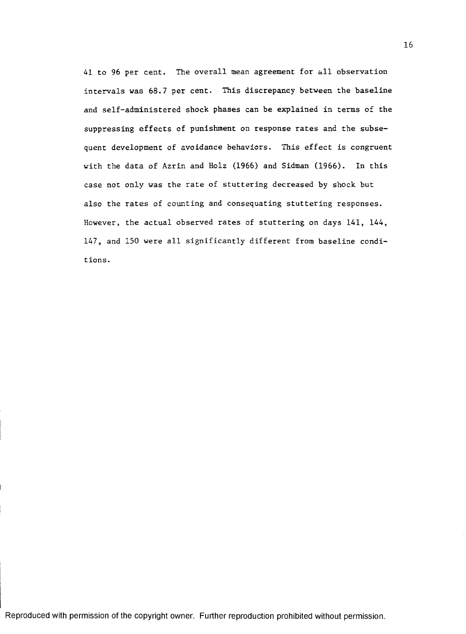41 to 96 per cent. The overall mean agreement for all observation intervals was 68.7 per cent. This discrepancy between the baseline and self-administered shock phases can be explained in terms of the suppressing effects of punishment on response rates and the subsequent development of avoidance behaviors. This effect is congruent with the data of Azrin and Holz (1966) and Sidman (1966). In this case not only was the rate of stuttering decreased by shock but also the rates of counting and consequating stuttering responses. However, the actual observed rates of stuttering on days 141, 144, 147, and 150 were all significantly different from baseline conditions.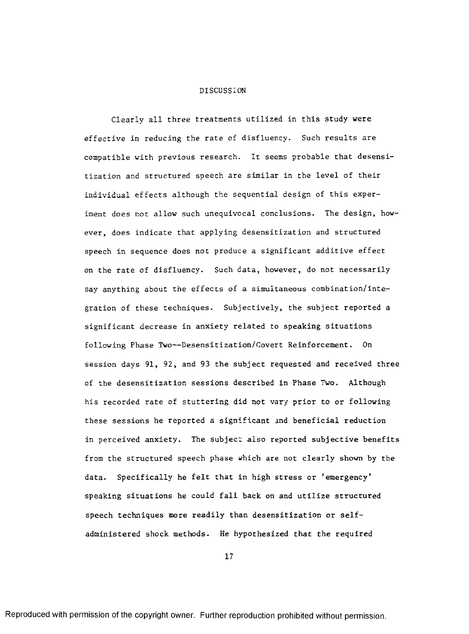#### DISCUSSION

Clearly all three treatments utilized in this study were effective in reducing the rate of disfluency. Such results are compatible with previous research. It seems probable that desensitization and structured speech are similar in the level of their individual effects although the sequential design of this experiment does not allow such unequivocal conclusions. The design, however, does indicate that applying desensitization and structured speech in sequence does not produce a significant additive effect on the rate of disfluency. Such data, however, do not necessarily say anything about the effects of a simultaneous combination/integration of these techniques. Subjectively, the subject reported a significant decrease in anxiety related to speaking situations following Phase Two— Desensitization/Covert Reinforcement. On session days 91, 92, and 93 the subject requested and received three of the desensitization sessions described in Phase Two. Although his recorded rate of stuttering did not vary prior to or following these sessions he reported a significant and beneficial reduction in perceived anxiety. The subject also reported subjective benefits from the structured speech phase which are not clearly shown by the data. Specifically he felt that in high stress or 'emergency' speaking situations he could fall back on and utilize structured speech techniques more readily than desensitization or selfadministered shock methods. He hypothesized that the required

17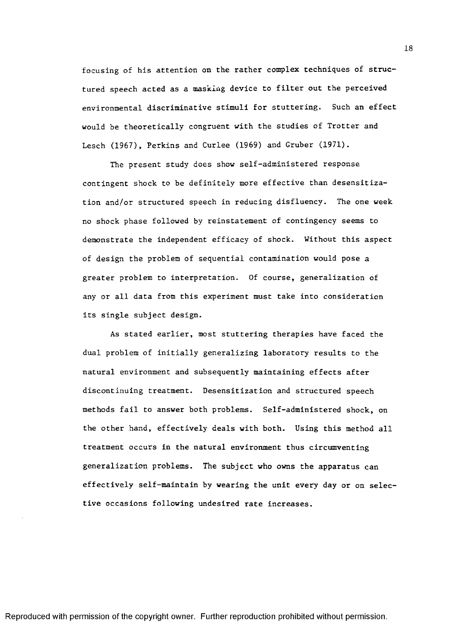focusing of his attention on the rather complex techniques of structured speech acted as a masking device to filter out the perceived environmental discriminative stimuli for stuttering. Such an effect would be theoretically congruent with the studies of Trotter and Lesch (1967), Perkins and Curlee (1969) and Gruber (1971).

The present study does show self-administered response contingent shock to be definitely more effective than desensitization and/or structured speech in reducing disfluency. The one week no shock phase followed by reinstatement of contingency seems to demonstrate the independent efficacy of shock. Without this aspect of design the problem of sequential contamination would pose a greater problem to interpretation. Of course, generalization of any or all data from this experiment must take into consideration its single subject design.

As stated earlier, most stuttering therapies have faced the dual problem of initially generalizing laboratory results to the natural environment and subsequently maintaining effects after discontinuing treatment. Desensitization and structured speech methods fail to answer both problems. Self-administered shock, on the other hand, effectively deals with both. Using this method all treatment occurs in the natural environment thus circumventing generalization problems. The subject who owns the apparatus can effectively self-maintain by wearing the unit every day or on selective occasions following undesired rate increases.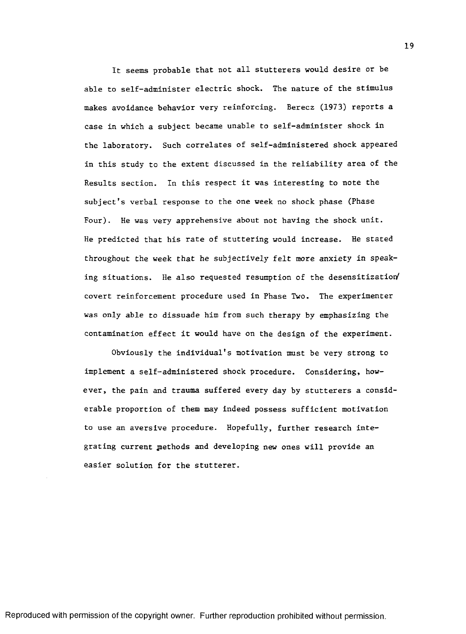It seems probable that not all stutterers would desire or be able to self-administer electric shock. The nature of the stimulus makes avoidance behavior very reinforcing. Berecz (1973) reports a case in which a subject became unable to self-administer shock in the laboratory. Such correlates of self-administered shock appeared in this study to the extent discussed in the reliability area of the Results section. In this respect it was interesting to note the subject's verbal response to the one week no shock phase (Phase Four). He was very apprehensive about not having the shock unit. He predicted that his rate of stuttering would increase. He stated throughout the week that he subjectively felt more anxiety in speaking situations. He also requested resumption of the desensitization( covert reinforcement procedure used in Phase Two. The experimenter was only able to dissuade him from such therapy by emphasizing the contamination effect it would have on the design of the experiment.

Obviously the individual's motivation must be very strong to implement a self-administered shock procedure. Considering, however, the pain and trauma suffered every day by stutterers a considerable proportion of them may indeed possess sufficient motivation to use an aversive procedure. Hopefully, further research integrating current methods and developing new ones will provide an easier solution for the stutterer.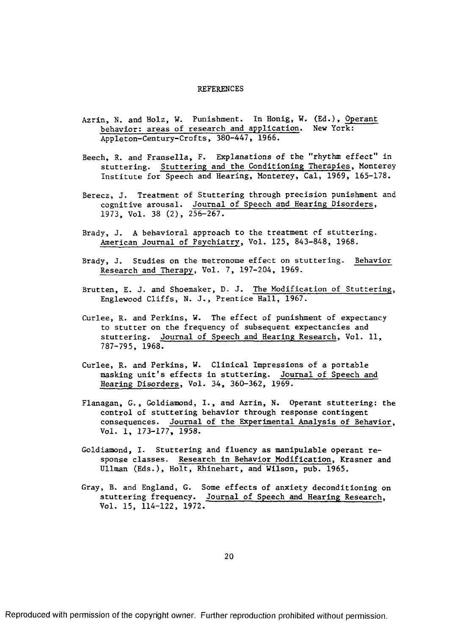#### REFERENCES

- Azrin, N. and Holz, W. Punishment. In Honig, W. (Ed.), Operant behavior: areas of research and application. New York: Appleton-Century-Crofts, 380-447, 1966.
- Beech, R. and Fransella, F. Explanations of the "rhythm effect" in stuttering. Stuttering and the Conditioning Therapies, Monterey Institute for Speech and Hearing, Monterey, Cal, 1969, 165-178.
- Berecz, J. Treatment of Stuttering through precision punishment and cognitive arousal. Journal of Speech and Hearing Disorders, 1973, Vol. 38 (2), 256-267.
- Brady, J. A behavioral approach to the treatment of stuttering. American Journal of Psychiatry, Vol. 125, 843-848, 1968.
- Brady, J. Studies on the metronome effect on stuttering. Behavior Research and Therapy, Vol. 7, 197-204, 1969.
- Brutten, E. J. and Shoemaker, D. J. The Modification of Stuttering, Englewood Cliffs, N. J., Prentice Hall, 1967.
- Curlee, R. and Perkins, W. The effect of punishment of expectancy to stutter on the frequency of subsequent expectancies and stuttering. Journal of Speech and Hearing Research, Vol. 11, 787-795, 1968.
- Curlee, R. and Perkins, W. Clinical Impressions of a portable masking unit's effects in stuttering. Journal of Speech and Hearing Disorders, Vol. 34, 360-362, 1969.
- Flanagan, G., Goldiamond, I., and Azrin, N. Operant stuttering: the control of stuttering behavior through response contingent consequences. Journal of the Experimental Analysis of Behavior, Vol. 1, 173-177, 1958.
- Goldiamond, I. Stuttering and fluency as manipulable operant response classes. Research in Behavior Modification, Krasner and Ullman (Eds.), Holt, Rhinehart, and Wilson, pub. 1965.
- Gray, B. and England, G. Some effects of anxiety deconditioning on stuttering frequency. Journal of Speech and Hearing Research, Vol. 15, 114-122, 1972.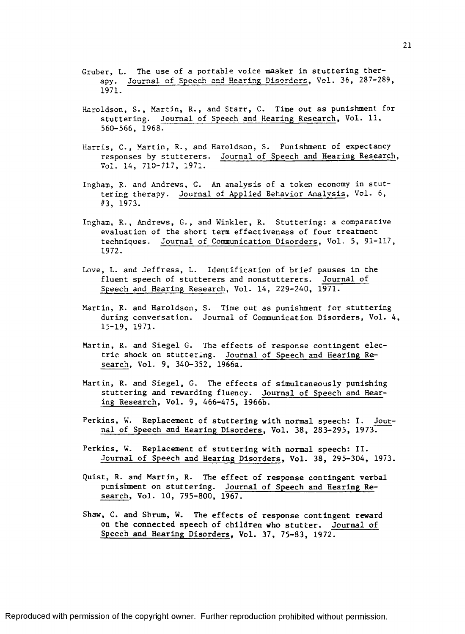- Gruber, L. The use of a portable voice masker in stuttering therapy. Journal of Speech and Hearing Disorders, Vol. 36, 287-289, 1971.
- Haroldson, S., Martin, R., and Starr, C. Time out as punishment for stuttering. Journal of Speech and Hearing Research, Vol. 11, 560-566, 1968.
- Harris, C., Martin, R., and Haroldson, S. Punishment of expectancy responses by stutterers. Journal of Speech and Hearing Research Vol. 14, 710-717, 1971.
- Ingham, R. and Andrews, G. An analysis of a token economy in stuttering therapy. Journal of Applied Behavior Analysis, Vol. 6, #3, 1973.
- Ingham, R., Andrews, G., and Winkler, R. Stuttering: a comparative evaluation of the short term effectiveness of four treatment techniques. Journal of Communication Disorders, Vol. 5, 91-117, 1972.
- Love, L. and Jeffress, L. Identification of brief pauses in the fluent speech of stutterers and nonstutterers. Journal of Speech and Hearing Research, Vol. 14, 229-240, 1971.
- Martin, R. and Haroldson, S. Time out as punishment for stuttering during conversation. Journal of Communication Disorders, Vol. 4, 15-19, 1971.
- Martin, R. and Siegel G. The effects of response contingent electric shock on stuttering. Journal of Speech and Hearing Research, Vol. 9, 340-352, 1966a.
- Martin, R. and Siegel, G. The effects of simultaneously punishing stuttering and rewarding fluency. Journal of Speech and Hearing Research, Vol. 9, 466-475, 1966b.
- Perkins, W. Replacement of stuttering with normal speech: I. Journal of Speech and Hearing Disorders, Vol. 38, 283-295, 1973.
- Perkins, W. Replacement of stuttering with normal speech: II. Journal of Speech and Hearing Disorders, Vol. 38, 295-304, 1973.
- Quist, R. and Martin, R. The effect of response contingent verbal punishment on stuttering. Journal of Speech and Hearing Research, Vol. 10, 795-800, 1967.
- Shaw, C. and Shrum, W. The effects of response contingent reward on the connected speech of children who stutter. Journal of Speech and Hearing Disorders, Vol. 37, 75-83, 1972.